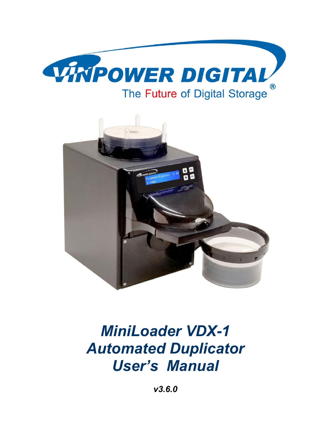



# *MiniLoader VDX-1 Automated Duplicator User's Manual*

*v3.6.0*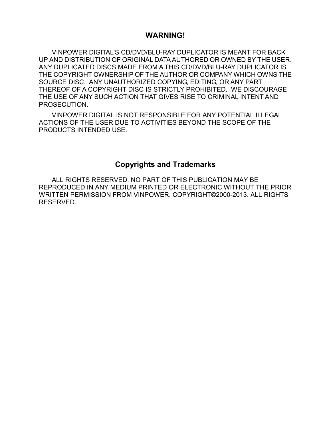# **WARNING!**

VINPOWER DIGITAL'S CD/DVD/BLU-RAY DUPLICATOR IS MEANT FOR BACK UP AND DISTRIBUTION OF ORIGINAL DATA AUTHORED OR OWNED BY THE USER. ANY DUPLICATED DISCS MADE FROM A THIS CD/DVD/BLU-RAY DUPLICATOR IS THE COPYRIGHT OWNERSHIP OF THE AUTHOR OR COMPANY WHICH OWNS THE SOURCE DISC. ANY UNAUTHORIZED COPYING, EDITING, OR ANY PART THEREOF OF A COPYRIGHT DISC IS STRICTLY PROHIBITED. WE DISCOURAGE THE USE OF ANY SUCH ACTION THAT GIVES RISE TO CRIMINAL INTENT AND PROSECUTION.

VINPOWER DIGITAL IS NOT RESPONSIBLE FOR ANY POTENTIAL ILLEGAL ACTIONS OF THE USER DUE TO ACTIVITIES BEYOND THE SCOPE OF THE PRODUCTS INTENDED USE.

# **Copyrights and Trademarks**

ALL RIGHTS RESERVED. NO PART OF THIS PUBLICATION MAY BE REPRODUCED IN ANY MEDIUM PRINTED OR ELECTRONIC WITHOUT THE PRIOR WRITTEN PERMISSION FROM VINPOWER. COPYRIGHT©2000-2013. ALL RIGHTS RESERVED.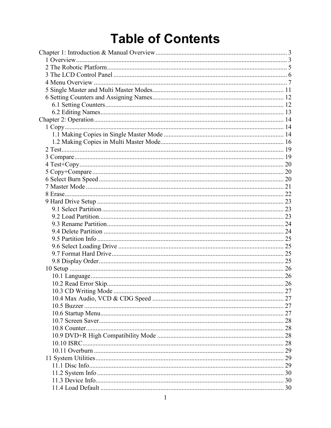# **Table of Contents**

| 27 |  |
|----|--|
|    |  |
|    |  |
|    |  |
|    |  |
|    |  |
|    |  |
|    |  |
|    |  |
|    |  |
|    |  |
|    |  |
|    |  |
|    |  |
|    |  |
|    |  |
|    |  |
|    |  |
|    |  |
|    |  |
|    |  |
|    |  |
|    |  |
|    |  |
|    |  |
|    |  |
|    |  |
|    |  |
|    |  |
|    |  |
|    |  |
|    |  |
|    |  |
|    |  |
|    |  |
|    |  |
|    |  |
|    |  |
|    |  |
|    |  |
|    |  |
|    |  |
|    |  |
|    |  |
|    |  |
|    |  |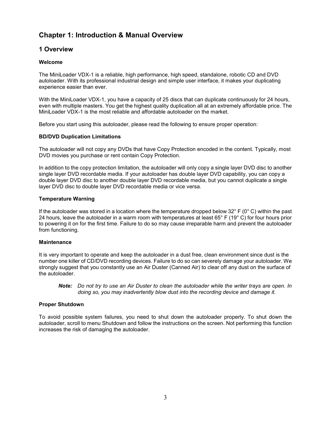# **Chapter 1: Introduction & Manual Overview**

# **1 Overview**

### **Welcome**

The MiniLoader VDX-1 is a reliable, high performance, high speed, standalone, robotic CD and DVD autoloader. With its professional industrial design and simple user interface, it makes your duplicating experience easier than ever.

With the MiniLoader VDX-1, you have a capacity of 25 discs that can duplicate continuously for 24 hours, even with multiple masters. You get the highest quality duplication all at an extremely affordable price. The MiniLoader VDX-1 is the most reliable and affordable autoloader on the market.

Before you start using this autoloader, please read the following to ensure proper operation:

### **BD/DVD Duplication Limitations**

The autoloader will not copy any DVDs that have Copy Protection encoded in the content. Typically, most DVD movies you purchase or rent contain Copy Protection.

In addition to the copy protection limitation, the autoloader will only copy a single layer DVD disc to another single layer DVD recordable media. If your autoloader has double layer DVD capability, you can copy a double layer DVD disc to another double layer DVD recordable media, but you cannot duplicate a single layer DVD disc to double layer DVD recordable media or vice versa.

### **Temperature Warning**

If the autoloader was stored in a location where the temperature dropped below  $32^{\circ}$  F (0° C) within the past 24 hours, leave the autoloader in a warm room with temperatures at least 65° F (19° C) for four hours prior to powering it on for the first time. Failure to do so may cause irreparable harm and prevent the autoloader from functioning.

### **Maintenance**

It is very important to operate and keep the autoloader in a dust free, clean environment since dust is the number one killer of CD/DVD recording devices. Failure to do so can severely damage your autoloader. We strongly suggest that you constantly use an Air Duster (Canned Air) to clear off any dust on the surface of the autoloader.

Note: Do not try to use an Air Duster to clean the autoloader while the writer trays are open. In *doing so, you may inadvertently blow dust into the recording device and damage it.*

### **Proper Shutdown**

To avoid possible system failures, you need to shut down the autoloader properly. To shut down the autoloader, scroll to menu Shutdown and follow the instructions on the screen. Not performing this function increases the risk of damaging the autoloader.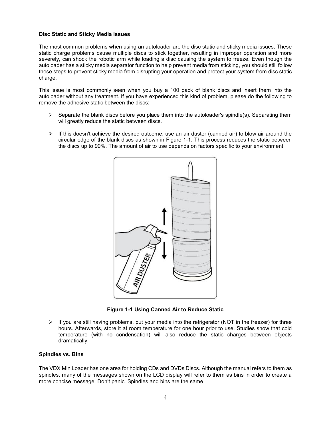#### **Disc Static and Sticky Media Issues**

The most common problems when using an autoloader are the disc static and sticky media issues. These static charge problems cause multiple discs to stick together, resulting in improper operation and more severely, can shock the robotic arm while loading a disc causing the system to freeze. Even though the autoloader has a sticky media separator function to help prevent media from sticking, you should still follow these steps to prevent sticky media from disrupting your operation and protect your system from disc static charge.

This issue is most commonly seen when you buy a 100 pack of blank discs and insert them into the autoloader without any treatment. If you have experienced this kind of problem, please do the following to remove the adhesive static between the discs:

- $\triangleright$  Separate the blank discs before you place them into the autoloader's spindle(s). Separating them will greatly reduce the static between discs.
- $\triangleright$  If this doesn't achieve the desired outcome, use an air duster (canned air) to blow air around the circular edge of the blank discs as shown in Figure 1-1. This process reduces the static between the discs up to 90%. The amount of air to use depends on factors specific to your environment.



**Figure 1-1 Using Canned Air to Reduce Static**

 $\triangleright$  If you are still having problems, put your media into the refrigerator (NOT in the freezer) for three hours. Afterwards, store it at room temperature for one hour prior to use. Studies show that cold temperature (with no condensation) will also reduce the static charges between objects dramatically.

#### **Spindles vs. Bins**

The VDX MiniLoader has one area for holding CDs and DVDs Discs. Although the manual refers to them as spindles, many of the messages shown on the LCD display will refer to them as bins in order to create a more concise message. Don't panic. Spindles and bins are the same.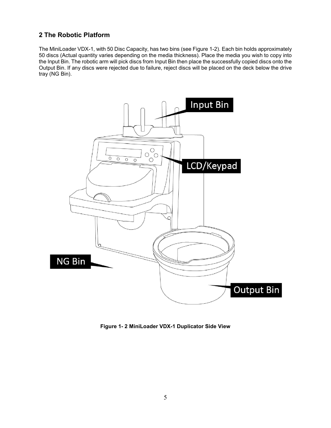# **2 The Robotic Platform**

The MiniLoader VDX-1, with 50 Disc Capacity, has two bins (see Figure 1-2). Each bin holds approximately 50 discs (Actual quantity varies depending on the media thickness). Place the media you wish to copy into the Input Bin. The robotic arm will pick discs from Input Bin then place the successfully copied discs onto the Output Bin. If any discs were rejected due to failure, reject discs will be placed on the deck below the drive tray (NG Bin).



**Figure 1- 2 MiniLoader VDX-1 Duplicator Side View**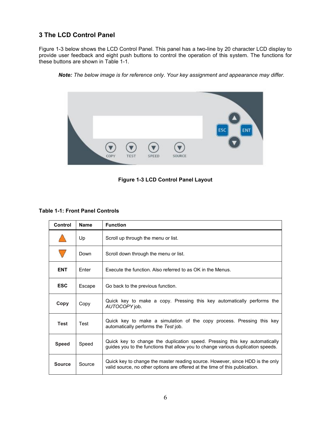# **3 The LCD Control Panel**

Figure 1-3 below shows the LCD Control Panel. This panel has a two-line by 20 character LCD display to provide user feedback and eight push buttons to control the operation of this system. The functions for these buttons are shown in Table 1-1.

*Note: The below image is for reference only. Your key assignment and appearance may differ.*



### **Figure 1-3 LCD Control Panel Layout**

#### **Table 1-1: Front Panel Controls**

| Control       | <b>Name</b> | <b>Function</b>                                                                                                                                                |
|---------------|-------------|----------------------------------------------------------------------------------------------------------------------------------------------------------------|
|               | Up          | Scroll up through the menu or list.                                                                                                                            |
|               | Down        | Scroll down through the menu or list.                                                                                                                          |
| <b>ENT</b>    | Enter       | Execute the function. Also referred to as OK in the Menus.                                                                                                     |
| <b>ESC</b>    | Escape      | Go back to the previous function.                                                                                                                              |
| Copy          | Copy        | Quick key to make a copy. Pressing this key automatically performs the<br>AUTOCOPY job.                                                                        |
| <b>Test</b>   | Test        | Quick key to make a simulation of the copy process. Pressing this key<br>automatically performs the Test job.                                                  |
| <b>Speed</b>  | Speed       | Quick key to change the duplication speed. Pressing this key automatically<br>quides you to the functions that allow you to change various duplication speeds. |
| <b>Source</b> | Source      | Quick key to change the master reading source. However, since HDD is the only<br>valid source, no other options are offered at the time of this publication.   |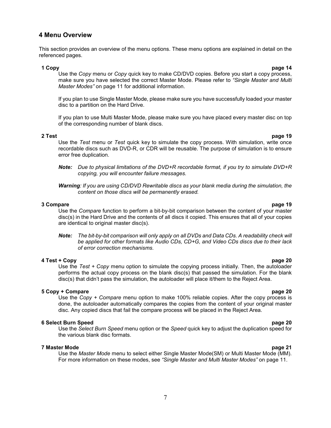### **4 Menu Overview**

This section provides an overview of the menu options. These menu options are explained in detail on the referenced pages.

**1 Copy page 14** Use the *Copy* menu or *Copy* quick key to make CD/DVD copies. Before you start a copy process, make sure you have selected the correct Master Mode. Please refer to *"Single Master and Multi Master Modes"* on page 11 for additional information.

If you plan to use Single Master Mode, please make sure you have successfully loaded your master disc to a partition on the Hard Drive.

If you plan to use Multi Master Mode, please make sure you have placed every master disc on top of the corresponding number of blank discs.

**2 Test page 19** Use the *Test* menu or *Test* quick key to simulate the copy process. With simulation, write once recordable discs such as DVD-R, or CDR will be reusable. The purpose of simulation is to ensure error free duplication.

- *Note: Due to physical limitations of the DVD+R recordable format, if you try to simulate DVD+R copying, you will encounter failure messages.*
- *Warning: If you are using CD/DVD Rewritable discs as your blank media during the simulation, the content on those discs will be permanently erased.*

**3 Compare page 19** Use the *Compare* function to perform a bit-by-bit comparison between the content of your master disc(s) in the Hard Drive and the contents of all discs it copied. This ensures that all of your copies are identical to original master disc(s).

*Note: The bit-by-bit comparison will only apply on all DVDs and Data CDs. A readability check will be applied for other formats like Audio CDs, CD+G, and Video CDs discs due to their lack of error correction mechanisms.*

#### **4 Test + Copy page 20**

Use the *Test + Copy* menu option to simulate the copying process initially. Then, the autoloader performs the actual copy process on the blank disc(s) that passed the simulation. For the blank disc(s) that didn't pass the simulation, the autoloader will place it/them to the Reject Area.

#### **5 Copy + Compare page 20**

Use the *Copy + Compare* menu option to make 100% reliable copies. After the copy process is done, the autoloader automatically compares the copies from the content of your original master disc. Any copied discs that fail the compare process will be placed in the Reject Area.

#### **6 Select Burn Speed page 20**

Use the *Select Burn Speed* menu option or the *Speed* quick key to adjust the duplication speed for the various blank disc formats.

#### **7 Master Mode page 21**

Use the *Master Mode* menu to select either Single Master Mode(SM) or Multi Master Mode (MM). For more information on these modes, see *"Single Master and Multi Master Modes"* on page 11.

#### 7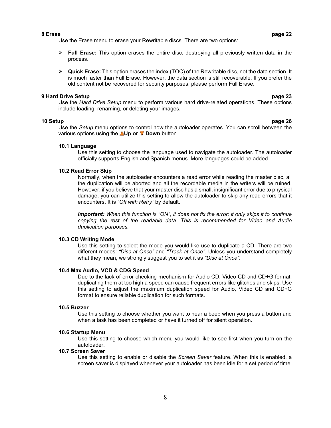#### **8 Erase page 22**

Use the Erase menu to erase your Rewritable discs. There are two options:

- **Full Erase:** This option erases the entire disc, destroying all previously written data in the process.
- **Quick Erase:** This option erases the index (TOC) of the Rewritable disc, not the data section. It is much faster than Full Erase. However, the data section is still recoverable. If you prefer the old content not be recovered for security purposes, please perform Full Erase.

#### **9 Hard Drive Setup page 23**

Use the *Hard Drive Setup* menu to perform various hard drive-related operations. These options include loading, renaming, or deleting your images.

#### **10 Setup page 26**

Use the *Setup* menu options to control how the autoloader operates. You can scroll between the various options using the **AUp or V Down** button.

#### **10.1 Language**

Use this setting to choose the language used to navigate the autoloader. The autoloader officially supports English and Spanish menus. More languages could be added.

#### **10.2 Read Error Skip**

Normally, when the autoloader encounters a read error while reading the master disc, all the duplication will be aborted and all the recordable media in the writers will be ruined. However, if you believe that your master disc has a small, insignificant error due to physical damage, you can utilize this setting to allow the autoloader to skip any read errors that it encounters. It is *"Off with Retry"* by default.

*Important: When this function is "ON", it does not fix the error; it only skips it to continue copying the rest of the readable data. This is recommended for Video and Audio duplication purposes.*

#### **10.3 CD Writing Mode**

Use this setting to select the mode you would like use to duplicate a CD. There are two different modes: *"Disc at Once"* and *"Track at Once"*. Unless you understand completely what they mean, we strongly suggest you to set it as *"Disc at Once"*.

#### **10.4 Max Audio, VCD & CDG Speed**

Due to the lack of error checking mechanism for Audio CD, Video CD and CD+G format, duplicating them at too high a speed can cause frequent errors like glitches and skips. Use this setting to adjust the maximum duplication speed for Audio, Video CD and CD+G format to ensure reliable duplication for such formats.

#### **10.5 Buzzer**

Use this setting to choose whether you want to hear a beep when you press a button and when a task has been completed or have it turned off for silent operation.

#### **10.6 Startup Menu**

Use this setting to choose which menu you would like to see first when you turn on the autoloader.

#### **10.7 Screen Saver**

Use this setting to enable or disable the *Screen Saver* feature. When this is enabled, a screen saver is displayed whenever your autoloader has been idle for a set period of time.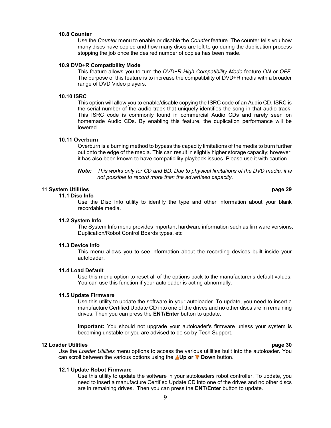#### **10.8 Counter**

Use the *Counter* menu to enable or disable the *Counter* feature. The counter tells you how many discs have copied and how many discs are left to go during the duplication process stopping the job once the desired number of copies has been made.

#### **10.9 DVD+R Compatibility Mode**

This feature allows you to turn the *DVD+R High Compatibility Mode* feature *ON* or *OFF*. The purpose of this feature is to increase the compatibility of DVD+R media with a broader range of DVD Video players.

#### **10.10 ISRC**

This option will allow you to enable/disable copying the ISRC code of an Audio CD. ISRC is the serial number of the audio track that uniquely identifies the song in that audio track. This ISRC code is commonly found in commercial Audio CDs and rarely seen on homemade Audio CDs. By enabling this feature, the duplication performance will be lowered.

#### **10.11 Overburn**

Overburn is a burning method to bypass the capacity limitations of the media to burn further out onto the edge of the media. This can result in slightly higher storage capacity; however, it has also been known to have compatibility playback issues. Please use it with caution.

*Note: This works only for CD and BD. Due to physical limitations of the DVD media, it is not possible to record more than the advertised capacity.*

#### **11 System Utilities page 29**

#### **11.1 Disc Info**

Use the Disc Info utility to identify the type and other information about your blank recordable media.

#### **11.2 System Info**

The System Info menu provides important hardware information such as firmware versions, Duplication/Robot Control Boards types, etc

#### **11.3 Device Info**

This menu allows you to see information about the recording devices built inside your autoloader.

#### **11.4 Load Default**

Use this menu option to reset all of the options back to the manufacturer's default values. You can use this function if your autoloader is acting abnormally.

#### **11.5 Update Firmware**

Use this utility to update the software in your autoloader. To update, you need to insert a manufacture Certified Update CD into one of the drives and no other discs are in remaining drives. Then you can press the **ENT/Enter** button to update.

**Important:** You should not upgrade your autoloader's firmware unless your system is becoming unstable or you are advised to do so by Tech Support.

#### **12 Loader Utilities page 30**

Use the *Loader Utilities* menu options to access the various utilities built into the autoloader. You can scroll between the various options using the **AUp or V Down** button.

#### **12.1 Update Robot Firmware**

Use this utility to update the software in your autoloaders robot controller. To update, you need to insert a manufacture Certified Update CD into one of the drives and no other discs are in remaining drives. Then you can press the **ENT/Enter** button to update.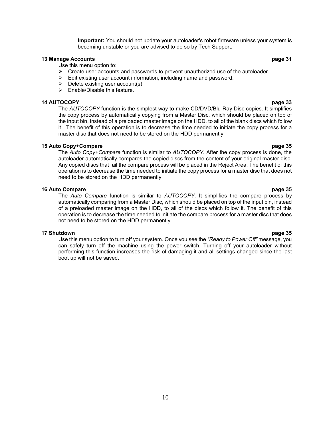**Important:** You should not update your autoloader's robot firmware unless your system is becoming unstable or you are advised to do so by Tech Support.

#### **13 Manage Accounts page 31**

Use this menu option to:

- $\triangleright$  Create user accounts and passwords to prevent unauthorized use of the autoloader.
- $\triangleright$  Edit existing user account information, including name and password.
- $\triangleright$  Delete existing user account(s).
- $\triangleright$  Enable/Disable this feature.

#### **14 AUTOCOPY page 33**

The *AUTOCOPY* function is the simplest way to make CD/DVD/Blu-Ray Disc copies. It simplifies the copy process by automatically copying from a Master Disc, which should be placed on top of the input bin, instead of a preloaded master image on the HDD, to all of the blank discs which follow it. The benefit of this operation is to decrease the time needed to initiate the copy process for a master disc that does not need to be stored on the HDD permanently.

#### **15 Auto Copy+Compare page 35**

The *Auto Copy+Compare* function is similar to *AUTOCOPY*. After the copy process is done, the autoloader automatically compares the copied discs from the content of your original master disc. Any copied discs that fail the compare process will be placed in the Reject Area. The benefit of this operation is to decrease the time needed to initiate the copy process for a master disc that does not need to be stored on the HDD permanently.

#### **16 Auto Compare page 35**

The *Auto Compare* function is similar to *AUTOCOPY*. It simplifies the compare process by automatically comparing from a Master Disc, which should be placed on top of the input bin, instead of a preloaded master image on the HDD, to all of the discs which follow it. The benefit of this operation is to decrease the time needed to initiate the compare process for a master disc that does not need to be stored on the HDD permanently.

#### **17 Shutdown page 35**

Use this menu option to turn off your system. Once you see the *"Ready to Power Off"* message, you can safely turn off the machine using the power switch. Turning off your autoloader without performing this function increases the risk of damaging it and all settings changed since the last boot up will not be saved.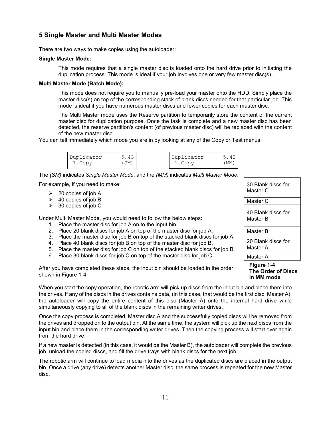# **5 Single Master and Multi Master Modes**

There are two ways to make copies using the autoloader:

#### **Single Master Mode:**

This mode requires that a single master disc is loaded onto the hard drive prior to initiating the duplication process. This mode is ideal if your job involves one or very few master disc(s).

#### **Multi Master Mode (Batch Mode):**

This mode does not require you to manually pre-load your master onto the HDD. Simply place the master disc(s) on top of the corresponding stack of blank discs needed for that particular job. This mode is ideal if you have numerous master discs and fewer copies for each master disc.

The Multi Master mode uses the Reserve partition to temporarily store the content of the current master disc for duplication purpose. Once the task is complete and a new master disc has been detected, the reserve partition's content (of previous master disc) will be replaced with the content of the new master disc.

You can tell immediately which mode you are in by looking at any of the Copy or Test menus:

| Duplicator | 5.431 | Duplicator |
|------------|-------|------------|
| 1.Copy     | (SM)  | 1.Copy     |

The *(SM)* indicates *Single Master Mode*, and the *(MM)* indicates *Multi Master Mode*.

For example, if you need to make:

- $\geqslant$  20 copies of job A
- $\geqslant$  40 copies of job B
- $\geq$  30 copies of job C

Under Multi Master Mode, you would need to follow the below steps:

- 1. Place the master disc for job A on to the input bin.
- 2. Place 20 blank discs for job A on top of the master disc for job A.
- 3. Place the master disc for job B on top of the stacked blank discs for job A.
- 4. Place 40 blank discs for job B on top of the master disc for job B.
- 5. Place the master disc for job C on top of the stacked blank discs for job B.
- 6. Place 30 blank discs for job C on top of the master disc for job C.

After you have completed these steps, the input bin should be loaded in the order shown in Figure 1-4:

When you start the copy operation, the robotic arm will pick up discs from the input bin and place them into the drives. If any of the discs in the drives contains data, (in this case, that would be the first disc, Master A), the autoloader will copy the entire content of this disc (Master A) onto the internal hard drive while simultaneously copying to all of the blank discs in the remaining writer drives.

Once the copy process is completed, Master disc A and the successfully copied discs will be removed from the drives and dropped on to the output bin. At the same time, the system will pick up the next discs from the input bin and place them in the corresponding writer drives. Then the copying process will start over again from the hard drive.

If a new master is detected (in this case, it would be the Master B), the autoloader will complete the previous job, unload the copied discs, and fill the drive trays with blank discs for the next job.

The robotic arm will continue to load media into the drives as the duplicated discs are placed in the output bin. Once a drive (any drive) detects another Master disc, the same process is repeated for the new Master disc.

| 30 Blank discs for<br>Master C |
|--------------------------------|
| Master C                       |
| 40 Blank discs for<br>Master R |
| Master B                       |
| 20 Blank discs for<br>Master A |
| Master A                       |
|                                |

5.43  $(MM)$ 

> **Figure 1-4 The Order of Discs in MM mode**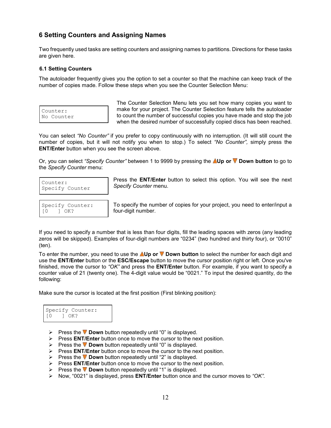# **6 Setting Counters and Assigning Names**

Two frequently used tasks are setting counters and assigning names to partitions. Directions for these tasks are given here.

#### **6.1 Setting Counters**

The autoloader frequently gives you the option to set a counter so that the machine can keep track of the number of copies made. Follow these steps when you see the Counter Selection Menu:

| Counter:    |  |
|-------------|--|
| No. Counter |  |

The Counter Selection Menu lets you set how many copies you want to make for your project. The Counter Selection feature tells the autoloader to count the number of successful copies you have made and stop the job when the desired number of successfully copied discs has been reached.

You can select *"No Counter"* if you prefer to copy continuously with no interruption. (It will still count the number of copies, but it will not notify you when to stop.) To select *"No Counter",* simply press the **ENT/Enter** button when you see the screen above.

Or, you can select *"Specify Counter"* between 1 to 9999 by pressing the **Up or Down button** to go to the *Specify Counter* menu:

| Counter:        |  |
|-----------------|--|
| Specify Counter |  |

Specify Counter: [0 ] OK?

Press the **ENT/Enter** button to select this option. You will see the next *Specify Counter* menu.

To specify the number of copies for your project, you need to enter/input a four-digit number.

If you need to specify a number that is less than four digits, fill the leading spaces with zeros (any leading zeros will be skipped). Examples of four-digit numbers are "0234" (two hundred and thirty four), or "0010" (ten).

To enter the number, you need to use the **Up or Down button** to select the number for each digit and use the **ENT/Enter** button or the **ESC/Escape** button to move the cursor position right or left. Once you've finished, move the cursor to *"OK"* and press the **ENT/Enter** button. For example, if you want to specify a counter value of 21 (twenty one). The 4-digit value would be "0021." To input the desired quantity, do the following:

Make sure the cursor is located at the first position (First blinking position):

Specify Counter: [0 ] OK?

- $\triangleright$  Press the **V** Down button repeatedly until "0" is displayed.
- Press **ENT/Enter** button once to move the cursor to the next position.
- **Press the <b>V** Down button repeatedly until "0" is displayed.
- Press **ENT/Enter** button once to move the cursor to the next position.
- **Press the <b>Down** button repeatedly until "2" is displayed.
- Press **ENT/Enter** button once to move the cursor to the next position.
- **EXECTE:** Press the ▼ **Down** button repeatedly until "1" is displayed.
- Now, "0021" is displayed, press **ENT/Enter** button once and the cursor moves to *"OK"*.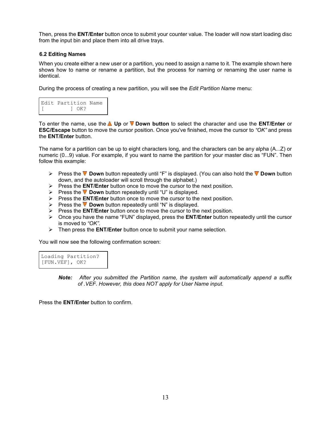Then, press the **ENT/Enter** button once to submit your counter value. The loader will now start loading disc from the input bin and place them into all drive trays.

#### **6.2 Editing Names**

When you create either a new user or a partition, you need to assign a name to it. The example shown here shows how to name or rename a partition, but the process for naming or renaming the user name is identical.

During the process of creating a new partition, you will see the *Edit Partition Name* menu:

|   | Edit Partition Name |  |
|---|---------------------|--|
| [ | 1 OK?               |  |

To enter the name, use the **Up** or **Down button** to select the character and use the **ENT/Enter** or **ESC/Escape** button to move the cursor position. Once you've finished, move the cursor to *"OK"* and press the **ENT/Enter** button.

The name for a partition can be up to eight characters long, and the characters can be any alpha (A...Z) or numeric (0...9) value. For example, if you want to name the partition for your master disc as "FUN". Then follow this example:

- $\triangleright$  Press the **V** Down button repeatedly until "F" is displayed. (You can also hold the **V** Down button down, and the autoloader will scroll through the alphabet.)
- Press the **ENT/Enter** button once to move the cursor to the next position.
- **Press the <b>Down** button repeatedly until "U" is displayed.
- Press the **ENT/Enter** button once to move the cursor to the next position.
- $\triangleright$  Press the **V** Down button repeatedly until "N" is displayed.
- Press the **ENT/Enter** button once to move the cursor to the next position.
- Once you have the name "FUN" displayed, press the **ENT/Enter** button repeatedly until the cursor is moved to *"OK"*.
- Then press the **ENT/Enter** button once to submit your name selection.

You will now see the following confirmation screen:

```
Loading Partition?
[FUN.VEF], OK?
```
*Note: After you submitted the Partition name, the system will automatically append a suffix of .VEF. However, this does NOT apply for User Name input.*

Press the **ENT/Enter** button to confirm.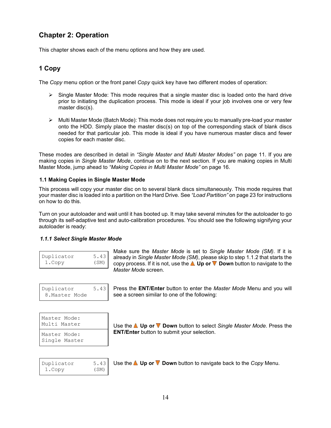# **Chapter 2: Operation**

This chapter shows each of the menu options and how they are used.

# **1 Copy**

The *Copy* menu option or the front panel *Copy* quick key have two different modes of operation:

- $\triangleright$  Single Master Mode: This mode requires that a single master disc is loaded onto the hard drive prior to initiating the duplication process. This mode is ideal if your job involves one or very few master disc(s).
- $\triangleright$  Multi Master Mode (Batch Mode): This mode does not require you to manually pre-load your master onto the HDD. Simply place the master disc(s) on top of the corresponding stack of blank discs needed for that particular job. This mode is ideal if you have numerous master discs and fewer copies for each master disc.

These modes are described in detail in *"Single Master and Multi Master Modes"* on page 11. If you are making copies in *Single Master Mode*, continue on to the next section. If you are making copies in Multi Master Mode, jump ahead to *"Making Copies in Multi Master Mode"* on page 16.

### **1.1 Making Copies in Single Master Mode**

This process will copy your master disc on to several blank discs simultaneously. This mode requires that your master disc is loaded into a partition on the Hard Drive. See *"Load Partition"* on page 23 for instructions on how to do this.

Turn on your autoloader and wait until it has booted up. It may take several minutes for the autoloader to go through its self-adaptive test and auto-calibration procedures. You should see the following signifying your autoloader is ready:

### *1.1.1 Select Single Master Mode*

| Duplicator | 5.43 |
|------------|------|
| 1.Copy     | (SM) |

Make sure the *Master Mode* is set to *Single Master Mode (SM)*. If it is already in *Single Master Mode (SM)*, please skip to step 1.1.2 that starts the copy process. If it is not, use the **Up or Down** button to navigate to the *Master Mode* screen.

| Duplicator    | 5.43 |
|---------------|------|
| 8.Master Mode |      |

Press the **ENT/Enter** button to enter the *Master Mode* Menu and you will see a screen similar to one of the following:

| Master Mode:<br>Multi Master  |  |
|-------------------------------|--|
| Master Mode:<br>Single Master |  |

Duplicator 5.43 1.Copy (SM)

Use the **Up or Down** button to select *Single Master Mode*. Press the **ENT/Enter** button to submit your selection.

| Use the $\triangle$ Up or $\nabla$ Down button to navigate back to the Copy Menu. |
|-----------------------------------------------------------------------------------|
|                                                                                   |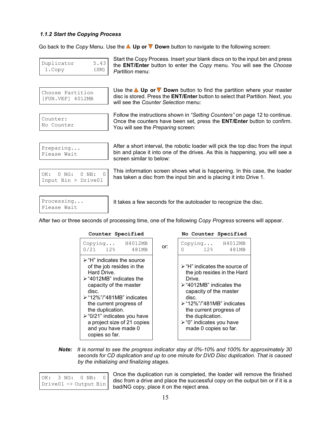### *1.1.2 Start the Copying Process*

Go back to the *Copy* Menu. Use the **Up or Down** button to navigate to the following screen:

| Duplicator | 5.43 |
|------------|------|
| 1.Copy     | (SM) |

Choose Partition [FUN.VEF] 4012MB

Counter: No Counter Start the Copy Process. Insert your blank discs on to the input bin and press the **ENT/Enter** button to enter the *Copy* menu. You will see the *Choose Partition* menu:

Use the **△ Up or** ▼ Down button to find the partition where your master disc is stored. Press the **ENT/Enter** button to select that Partition. Next, you will see the *Counter Selection* menu:

Follow the instructions shown in *"Setting Counters"* on page 12 to continue. Once the counters have been set, press the **ENT/Enter** button to confirm. You will see the *Preparing* screen:

After a short interval, the robotic loader will pick the top disc from the input bin and place it into one of the drives. As this is happening, you will see a

Preparing... Please Wait

OK: 0 NG: 0 NB: 0 Input Bin > Drive01

This information screen shows what is happening. In this case, the loader has taken a disc from the input bin and is placing it into Drive 1.

| Processing  |  |
|-------------|--|
| Please Wait |  |

It takes a few seconds for the autoloader to recognize the disc.

After two or three seconds of processing time, one of the following *Copy Progress* screens will appear.

screen similar to below:

**Counter Specified No Counter Specified**

| H4012MB<br>Copying<br>$0/21$ 12%<br>481MB                                                                                                                                                                                                                                                                                                                                           | or: | H4012MB<br>Copying<br>12%<br>481MB<br>0                                                                                                                                                                                                                                                                             |
|-------------------------------------------------------------------------------------------------------------------------------------------------------------------------------------------------------------------------------------------------------------------------------------------------------------------------------------------------------------------------------------|-----|---------------------------------------------------------------------------------------------------------------------------------------------------------------------------------------------------------------------------------------------------------------------------------------------------------------------|
| $\triangleright$ "H" indicates the source<br>of the job resides in the<br>Hard Drive<br>$\triangleright$ "4012MB" indicates the<br>capacity of the master<br>disc.<br>$\triangleright$ "12%"/"481MB" indicates<br>the current progress of<br>the duplication.<br>$\triangleright$ "0/21" indicates you have<br>a project size of 21 copies<br>and you have made 0<br>copies so far. |     | $\triangleright$ "H" indicates the source of<br>the job resides in the Hard<br>Drive.<br>$\triangleright$ "4012MB" indicates the<br>capacity of the master<br>disc.<br>$\triangleright$ "12%"/"481MB" indicates<br>the current progress of<br>the duplication.<br>≻ "0" indicates you have<br>made 0 copies so far. |

*Note: It is normal to see the progress indicator stay at 0%-10% and 100% for approximately 30 seconds for CD duplication and up to one minute for DVD Disc duplication. That is caused by the initializing and finalizing stages.*

OK: 3 NG: 0 NB: 0 Drive01 -> Output Bin

Once the duplication run is completed, the loader will remove the finished disc from a drive and place the successful copy on the output bin or if it is a bad/NG copy, place it on the reject area.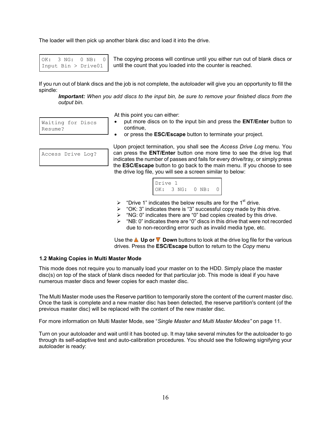The loader will then pick up another blank disc and load it into the drive.

| OK: $3 NG: 0 NB: 0$<br>Input Bin > Drive01 |  |  |  |
|--------------------------------------------|--|--|--|
|                                            |  |  |  |

The copying process will continue until you either run out of blank discs or until the count that you loaded into the counter is reached.

If you run out of blank discs and the job is not complete, the autoloader will give you an opportunity to fill the spindle:

*Important: When you add discs to the input bin, be sure to remove your finished discs from the output bin.*

Waiting for Discs Resume?

Access Drive Log?

At this point you can either:

- put more discs on to the input bin and press the **ENT/Enter** button to continue,
- or press the **ESC/Escape** button to terminate your project.

Upon project termination, you shall see the *Access Drive Log* menu. You can press the **ENT/Enter** button one more time to see the drive log that indicates the number of passes and fails for every drive/tray, or simply press the **ESC/Escape** button to go back to the main menu. If you choose to see the drive log file, you will see a screen similar to below:

Drive 1 OK: 3 NG: 0 NB: 0

- $\triangleright$  "Drive 1" indicates the below results are for the 1<sup>st</sup> drive.
- $\triangleright$  "OK: 3" indicates there is "3" successful copy made by this drive.
- $\triangleright$  "NG: 0" indicates there are "0" bad copies created by this drive.
- "NB: 0" indicates there are "0" discs in this drive that were not recorded due to non-recording error such as invalid media type, etc.

Use the **△ Up or** ▼ **Down** buttons to look at the drive log file for the various drives. Press the **ESC/Escape** button to return to the *Copy* menu

#### **1.2 Making Copies in Multi Master Mode**

This mode does not require you to manually load your master on to the HDD. Simply place the master disc(s) on top of the stack of blank discs needed for that particular job. This mode is ideal if you have numerous master discs and fewer copies for each master disc.

The Multi Master mode uses the Reserve partition to temporarily store the content of the current master disc. Once the task is complete and a new master disc has been detected, the reserve partition's content (of the previous master disc) will be replaced with the content of the new master disc.

For more information on Multi Master Mode, see "*Single Master and Multi Master Modes"* on page 11.

Turn on your autoloader and wait until it has booted up. It may take several minutes for the autoloader to go through its self-adaptive test and auto-calibration procedures. You should see the following signifying your autoloader is ready: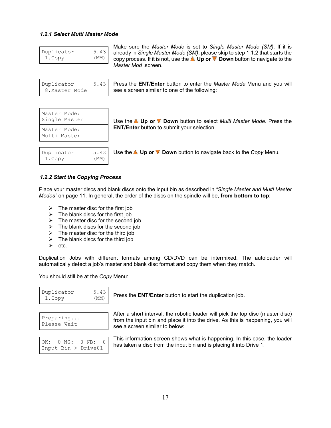#### *1.2.1 Select Multi Master Mode*

| Duplicator | 5.43 |
|------------|------|
| 1.Copy     | (MM) |

Make sure the *Master Mode* is set to *Single Master Mode (SM)*. If it is already in *Single Master Mode (SM)*, please skip to step 1.1.2 that starts the copy process. If it is not, use the **Up or Down** button to navigate to the *Master Mod* .screen.

| Duplicator     | 5.43 |  |
|----------------|------|--|
| 8. Master Mode |      |  |

Press the **ENT/Enter** button to enter the *Master Mode* Menu and you will see a screen similar to one of the following:

| Master Mode:                 | Single Master |
|------------------------------|---------------|
| Master Mode:<br>Multi Master |               |

Duplicator 5.43 1.Copy (MM)

Use the **Up or Down** button to select *Multi Master Mode*. Press the **ENT/Enter** button to submit your selection.

Use the **Up or Down** button to navigate back to the *Copy* Menu.

#### *1.2.2 Start the Copying Process*

Place your master discs and blank discs onto the input bin as described in *"Single Master and Multi Master Modes"* on page 11. In general, the order of the discs on the spindle will be, **from bottom to top**:

- $\triangleright$  The master disc for the first job
- $\triangleright$  The blank discs for the first job
- $\triangleright$  The master disc for the second job
- $\triangleright$  The blank discs for the second job
- $\triangleright$  The master disc for the third job
- $\triangleright$  The blank discs for the third job
- $\triangleright$  etc.

Duplication Jobs with different formats among CD/DVD can be intermixed. The autoloader will automatically detect a job's master and blank disc format and copy them when they match.

You should still be at the *Copy* Menu:

| Duplicator<br>1.Copy | 5.43<br>(MM) |
|----------------------|--------------|
|                      |              |
| Preparing            |              |

Please Wait

| OK: $0 \text{ NG: } 0 \text{ NB: } 0$ |  |  |  |  |
|---------------------------------------|--|--|--|--|
| Input Bin > Drive01 $ $               |  |  |  |  |

Press the **ENT/Enter** button to start the duplication job.

After a short interval, the robotic loader will pick the top disc (master disc) from the input bin and place it into the drive. As this is happening, you will see a screen similar to below:

This information screen shows what is happening. In this case, the loader has taken a disc from the input bin and is placing it into Drive 1.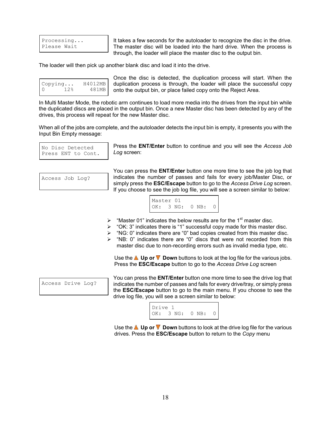Processing... Please Wait

It takes a few seconds for the autoloader to recognize the disc in the drive. The master disc will be loaded into the hard drive. When the process is through, the loader will place the master disc to the output bin.

The loader will then pick up another blank disc and load it into the drive.

| Copying | H4012MBI |
|---------|----------|
| 172     | 481 MBI  |

Once the disc is detected, the duplication process will start. When the duplication process is through, the loader will place the successful copy onto the output bin, or place failed copy onto the Reject Area.

In Multi Master Mode, the robotic arm continues to load more media into the drives from the input bin while the duplicated discs are placed in the output bin. Once a new Master disc has been detected by any of the drives, this process will repeat for the new Master disc.

When all of the jobs are complete, and the autoloader detects the input bin is empty, it presents you with the Input Bin Empty message:

No Disc Detected Press ENT to Cont. Press the **ENT/Enter** button to continue and you will see the *Access Job Log* screen:

Access Job Log?

You can press the **ENT/Enter** button one more time to see the job log that indicates the number of passes and fails for every job/Master Disc, or simply press the **ESC/Escape** button to go to the *Access Drive Log* screen. If you choose to see the job log file, you will see a screen similar to below:

Master 01 OK: 3 NG: 0 NB: 0

- $\triangleright$  "Master 01" indicates the below results are for the 1<sup>st</sup> master disc.
- $\geq$  "OK: 3" indicates there is "1" successful copy made for this master disc.
- $\triangleright$  "NG: 0" indicates there are "0" bad copies created from this master disc.
- $\triangleright$  "NB: 0" indicates there are "0" discs that were not recorded from this master disc due to non-recording errors such as invalid media type, etc.

Use the  $\triangle$  Up or  $\nabla$  Down buttons to look at the log file for the various jobs. Press the **ESC/Escape** button to go to the *Access Drive Log* screen

Access Drive Log?

You can press the **ENT/Enter** button one more time to see the drive log that indicates the number of passes and fails for every drive/tray, or simply press the **ESC/Escape** button to go to the main menu. If you choose to see the drive log file, you will see a screen similar to below:

| Drive 1 |                   |  |
|---------|-------------------|--|
|         | OK: 3 NG: 0 NB: 0 |  |

Use the **△Up or ▼ Down** buttons to look at the drive log file for the various drives. Press the **ESC/Escape** button to return to the *Copy* menu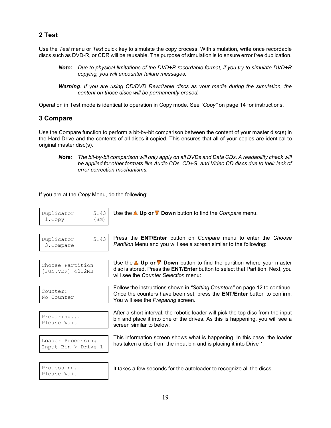# **2 Test**

Use the *Test* menu or *Test* quick key to simulate the copy process. With simulation, write once recordable discs such as DVD-R, or CDR will be reusable. The purpose of simulation is to ensure error free duplication.

*Note: Due to physical limitations of the DVD+R recordable format, if you try to simulate DVD+R copying, you will encounter failure messages.*

*Warning: If you are using CD/DVD Rewritable discs as your media during the simulation, the content on those discs will be permanently erased.*

Operation in Test mode is identical to operation in Copy mode. See *"Copy"* on page 14 for instructions.

### **3 Compare**

Use the Compare function to perform a bit-by-bit comparison between the content of your master disc(s) in the Hard Drive and the contents of all discs it copied. This ensures that all of your copies are identical to original master disc(s).

*Note: The bit-by-bit comparison will only apply on all DVDs and Data CDs. A readability check will be applied for other formats like Audio CDs, CD+G, and Video CD discs due to their lack of error correction mechanisms.*

If you are at the *Copy* Menu, do the following:

| Duplicator<br>1.Copy                       | 5.43<br>(SM) | Use the $\triangle$ Up or $\nabla$ Down button to find the Compare menu.                                                                                                                                              |
|--------------------------------------------|--------------|-----------------------------------------------------------------------------------------------------------------------------------------------------------------------------------------------------------------------|
| Duplicator<br>3. Compare                   | 5.43         | Press the <b>ENT/Enter</b> button on <i>Compare</i> menu to enter the <i>Choose</i><br>Partition Menu and you will see a screen similar to the following:                                                             |
| Choose Partition<br>[FUN.VEF] 4012MB       |              | Use the $\triangle$ Up or $\vee$ Down button to find the partition where your master<br>disc is stored. Press the <b>ENT/Enter</b> button to select that Partition. Next, you<br>will see the Counter Selection menu: |
| Counter:<br>No Counter                     |              | Follow the instructions shown in "Setting Counters" on page 12 to continue.<br>Once the counters have been set, press the <b>ENT/Enter</b> button to confirm.<br>You will see the Preparing screen.                   |
| Preparing<br>Please Wait                   |              | After a short interval, the robotic loader will pick the top disc from the input<br>bin and place it into one of the drives. As this is happening, you will see a<br>screen similar to below:                         |
| Loader Processing<br>Input Bin $>$ Drive 1 |              | This information screen shows what is happening. In this case, the loader<br>has taken a disc from the input bin and is placing it into Drive 1.                                                                      |
| Processing<br>Please Wait                  |              | It takes a few seconds for the autoloader to recognize all the discs.                                                                                                                                                 |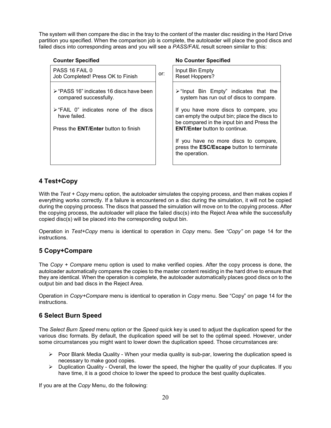The system will then compare the disc in the tray to the content of the master disc residing in the Hard Drive partition you specified. When the comparison job is complete, the autoloader will place the good discs and failed discs into corresponding areas and you will see a *PASS/FAIL* result screen similar to this:

| <b>Counter Specified</b>                                              |     | <b>No Counter Specified</b>                                                                                                          |
|-----------------------------------------------------------------------|-----|--------------------------------------------------------------------------------------------------------------------------------------|
| PASS 16 FAIL 0<br>Job Completed! Press OK to Finish                   | or: | Input Bin Empty<br><b>Reset Hoppers?</b>                                                                                             |
| ≻ "PASS 16" indicates 16 discs have been<br>compared successfully.    |     | $\triangleright$ "Input Bin Empty" indicates that the<br>system has run out of discs to compare.                                     |
| $\triangleright$ "FAIL 0" indicates none of the discs<br>have failed. |     | If you have more discs to compare, you<br>can empty the output bin; place the discs to<br>be compared in the input bin and Press the |
| Press the <b>ENT/Enter</b> button to finish                           |     | <b>ENT/Enter</b> button to continue.                                                                                                 |
|                                                                       |     | If you have no more discs to compare,<br>press the <b>ESC/Escape</b> button to terminate<br>the operation.                           |

# **4 Test+Copy**

With the *Test + Copy* menu option, the autoloader simulates the copying process, and then makes copies if everything works correctly. If a failure is encountered on a disc during the simulation, it will not be copied during the copying process. The discs that passed the simulation will move on to the copying process. After the copying process, the autoloader will place the failed disc(s) into the Reject Area while the successfully copied disc(s) will be placed into the corresponding output bin.

Operation in *Test+Copy* menu is identical to operation in *Copy* menu. See *"Copy"* on page 14 for the instructions.

### **5 Copy+Compare**

The *Copy + Compare* menu option is used to make verified copies. After the copy process is done, the autoloader automatically compares the copies to the master content residing in the hard drive to ensure that they are identical. When the operation is complete, the autoloader automatically places good discs on to the output bin and bad discs in the Reject Area.

Operation in *Copy+Compare* menu is identical to operation in *Copy* menu. See "Copy" on page 14 for the instructions.

### **6 Select Burn Speed**

The *Select Burn Speed* menu option or the *Speed* quick key is used to adjust the duplication speed for the various disc formats. By default, the duplication speed will be set to the optimal speed. However, under some circumstances you might want to lower down the duplication speed. Those circumstances are:

- $\triangleright$  Poor Blank Media Quality When your media quality is sub-par, lowering the duplication speed is necessary to make good copies.
- $\triangleright$  Duplication Quality Overall, the lower the speed, the higher the quality of your duplicates. If you have time, it is a good choice to lower the speed to produce the best quality duplicates.

If you are at the *Copy* Menu, do the following: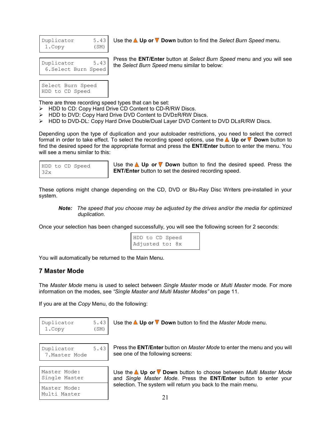| Duplicator | 5.43 |
|------------|------|
| 1.Copy     | (SM) |

Use the **Up or Down** button to find the *Select Burn Speed* menu.

Press the **ENT/Enter** button at *Select Burn Speed* menu and you will see

Duplicator 5.43 6.Select Burn Speed

Select Burn Speed HDD to CD Speed

There are three recording speed types that can be set:

- > HDD to CD: Copy Hard Drive CD Content to CD-R/RW Discs.
- ▶ HDD to DVD: Copy Hard Drive DVD Content to DVD±R/RW Discs.
- HDD to DVD-DL: Copy Hard Drive Double/Dual Layer DVD Content to DVD DL±R/RW Discs.

Depending upon the type of duplication and your autoloader restrictions, you need to select the correct format in order to take effect. To select the recording speed options, use the **A** Up or **V** Down button to find the desired speed for the appropriate format and press the **ENT/Enter** button to enter the menu. You will see a menu similar to this:

the *Select Burn Speed* menu similar to below:

|     |  | HDD to CD Speed |  |
|-----|--|-----------------|--|
| 32x |  |                 |  |

Use the **Up or Down** button to find the desired speed. Press the **ENT/Enter** button to set the desired recording speed.

These options might change depending on the CD, DVD or Blu-Ray Disc Writers pre-installed in your system.

*Note: The speed that you choose may be adjusted by the drives and/or the media for optimized duplication.*

Once your selection has been changed successfully, you will see the following screen for 2 seconds:

| HDD to CD Speed |  |
|-----------------|--|
| Adjusted to: 8x |  |

You will automatically be returned to the Main Menu.

### **7 Master Mode**

The *Master Mode* menu is used to select between *Single Master* mode or *Multi Master* mode. For more information on the modes, see *"Single Master and Multi Master Modes"* on page 11.

If you are at the *Copy* Menu, do the following:

| Duplicator | 5.43 |
|------------|------|
| 1.Copy     | (SM) |

| Duplicator    | 5.43 |  |
|---------------|------|--|
| 7.Master Mode |      |  |

| Master Mode:<br>Single Master |  |
|-------------------------------|--|
| Master Mode:<br>Multi Master  |  |

Use the **Up or Down** button to find the *Master Mode* menu.

Press the **ENT/Enter** button on *Master Mode* to enter the menu and you will see one of the following screens:

Use the **Up or Down** button to choose between *Multi Master Mode* and *Single Master Mode*. Press the **ENT/Enter** button to enter your selection. The system will return you back to the main menu.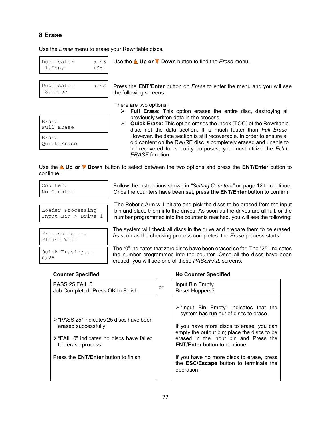# **8 Erase**

Use the *Erase* menu to erase your Rewritable discs.

| Duplicator | 5.43 |
|------------|------|
| 1.Copy     | (SM) |

| Duplicator | 5.43 |  |
|------------|------|--|
| 8.Erase    |      |  |

Press the **ENT/Enter** button on *Erase* to enter the menu and you will see the following screens:

Use the **Up or Down** button to find the *Erase* menu.

There are two options:

| Erase<br>Full Erase  |
|----------------------|
| Erase<br>Ouick Erase |

 **Full Erase:** This option erases the entire disc, destroying all previously written data in the process.

 **Quick Erase:** This option erases the index (TOC) of the Rewritable disc, not the data section. It is much faster than *Full Erase*. However, the data section is still recoverable. In order to ensure all old content on the RW/RE disc is completely erased and unable to be recovered for security purposes, you must utilize the *FULL ERASE* function.

Use the **Up or Down** button to select between the two options and press the **ENT/Enter** button to continue.

Counter: No Counter

Loader Processing Input Bin > Drive 1

| Processing<br>Please Wait |  |
|---------------------------|--|
| Quick Erasing<br>0/25     |  |

Follow the instructions shown in *"Setting Counters"* on page 12 to continue. Once the counters have been set, press **the ENT/Enter** button to confirm.

The Robotic Arm will initiate and pick the discs to be erased from the input bin and place them into the drives. As soon as the drives are all full, or the number programmed into the counter is reached, you will see the following:

The system will check all discs in the drive and prepare them to be erased. As soon as the checking process completes, the *Erase* process starts.

The "0" indicates that zero discs have been erased so far. The "25" indicates the number programmed into the counter. Once all the discs have been erased, you will see one of these *PASS/FAIL* screens:

#### **Counter Specified No Counter Specified**

| PASS 25 FAIL 0<br>Job Completed! Press OK to Finish                                                                                                                                                              | or: | Input Bin Empty<br><b>Reset Hoppers?</b>                                                                                                                                                                                                                                                                                                                                               |
|------------------------------------------------------------------------------------------------------------------------------------------------------------------------------------------------------------------|-----|----------------------------------------------------------------------------------------------------------------------------------------------------------------------------------------------------------------------------------------------------------------------------------------------------------------------------------------------------------------------------------------|
| $\triangleright$ "PASS 25" indicates 25 discs have been<br>erased successfully.<br>$\triangleright$ "FAIL 0" indicates no discs have failed<br>the erase process.<br>Press the <b>ENT/Enter</b> button to finish |     | $\triangleright$ "Input Bin Empty" indicates that the<br>system has run out of discs to erase.<br>If you have more discs to erase, you can<br>empty the output bin; place the discs to be<br>erased in the input bin and Press the<br><b>ENT/Enter</b> button to continue.<br>If you have no more discs to erase, press<br>the <b>ESC/Escape</b> button to terminate the<br>operation. |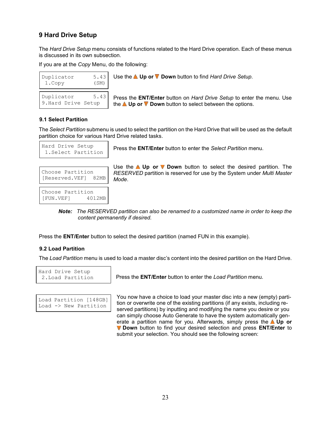# **9 Hard Drive Setup**

The *Hard Drive Setup* menu consists of functions related to the Hard Drive operation. Each of these menus is discussed in its own subsection.

If you are at the *Copy* Menu, do the following:

| Duplicator<br>1.Copy              | 5.43<br>(SM) | Use the $\triangle$ Up or $\nabla$ Down button to find Hard Drive Setup.                                                                           |
|-----------------------------------|--------------|----------------------------------------------------------------------------------------------------------------------------------------------------|
| Duplicator<br>9. Hard Drive Setup | 5.43         | Press the ENT/Enter button on Hard Drive Setup to enter the menu. Use<br>the $\triangle$ Up or $\nabla$ Down button to select between the options. |

### **9.1 Select Partition**

The *Select Partition* submenu is used to select the partition on the Hard Drive that will be used as the default partition choice for various Hard Drive related tasks.

| Hard Drive Setup |                     |
|------------------|---------------------|
|                  | 1. Select Partition |

Press the **ENT/Enter** button to enter the *Select Partition* menu.

| Choose Partition<br>82MB<br>[Reserved.VEF] |
|--------------------------------------------|
| Choose Partition<br>4012MB<br>[FUN.VEF]    |

Use the **A** Up or **V** Down button to select the desired partition. The *RESERVED* partition is reserved for use by the System under *Multi Master Mode*.

*Note: The RESERVED partition can also be renamed to a customized name in order to keep the content permanently if desired.*

Press the **ENT/Enter** button to select the desired partition (named FUN in this example).

### **9.2 Load Partition**

The *Load Partition* menu is used to load a master disc's content into the desired partition on the Hard Drive.

Hard Drive Setup 2.Load Partition

Press the **ENT/Enter** button to enter the *Load Partition* menu.

Load Partition [148GB] Load -> New Partition

You now have a choice to load your master disc into a new (empty) partition or overwrite one of the existing partitions (if any exists, including reserved partitions) by inputting and modifying the name you desire or you can simply choose Auto Generate to have the system automatically generate a partition name for you. Afterwards, simply press the **AU** p or **Down** button to find your desired selection and press **ENT/Enter** to submit your selection. You should see the following screen: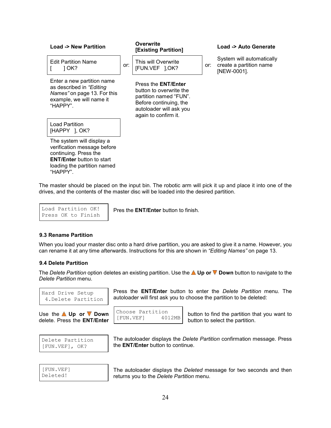| <b>Load -&gt; New Partition</b>                                                                                                                                  |     | Overwrite<br>[Existing Partition]                                                                                                                            |     | Load -> Auto Generate                                               |
|------------------------------------------------------------------------------------------------------------------------------------------------------------------|-----|--------------------------------------------------------------------------------------------------------------------------------------------------------------|-----|---------------------------------------------------------------------|
| <b>Edit Partition Name</b><br>1 OK?                                                                                                                              | or: | This will Overwrite<br>[FUN.VEF ],OK?                                                                                                                        | or: | System will automatically<br>create a partition name<br>[NEW-0001]. |
| Enter a new partition name<br>as described in "Editing<br>Names" on page 13. For this<br>example, we will name it<br>"HAPPY".                                    |     | Press the <b>ENT/Enter</b><br>button to overwrite the<br>partition named "FUN".<br>Before continuing, the<br>autoloader will ask you<br>again to confirm it. |     |                                                                     |
| <b>Load Partition</b><br>[HAPPY ], OK?                                                                                                                           |     |                                                                                                                                                              |     |                                                                     |
| The system will display a<br>verification message before<br>continuing. Press the<br><b>ENT/Enter</b> button to start<br>loading the partition named<br>"HAPPY". |     |                                                                                                                                                              |     |                                                                     |

The master should be placed on the input bin. The robotic arm will pick it up and place it into one of the drives, and the contents of the master disc will be loaded into the desired partition.

Load Partition OK! Press OK to Finish

Pres the **ENT/Enter** button to finish.

#### **9.3 Rename Partition**

When you load your master disc onto a hard drive partition, you are asked to give it a name. However, you can rename it at any time afterwards. Instructions for this are shown in *"Editing Names"* on page 13.

#### **9.4 Delete Partition**

The *Delete Partition* option deletes an existing partition. Use the **△Up** or ▼ Down button to navigate to the *Delete Partition* menu.

|  | Hard Drive Setup    |
|--|---------------------|
|  | 4. Delete Partition |

```
Delete Partition
[FUN.VEF], OK?
```
Press the **ENT/Enter** button to enter the *Delete Partition* menu. The autoloader will first ask you to choose the partition to be deleted:

| Choose Partition |        |
|------------------|--------|
| [FUN.VEF]        | 4012MB |

Use the **A Up or <b>V** Down  $\begin{bmatrix} \text{Choose Partition} \\ \text{FUN.VEF} \end{bmatrix}$  and the partition that you want to delete. Press the **ENT/Enter**  $\begin{bmatrix} \text{FUN.VEF} \end{bmatrix}$  4012MB button to select the partition. button to select the partition.

> The autoloader displays the *Delete Partition* confirmation message. Press the **ENT/Enter** button to continue.

| [FUN.VEF] |  |
|-----------|--|
| Deleted!  |  |

The autoloader displays the *Deleted* message for two seconds and then returns you to the *Delete Partition* menu.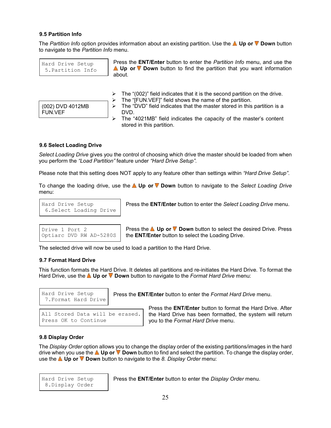#### **9.5 Partition Info**

The *Partition Info* option provides information about an existing partition. Use the **△ Up or** ▼ Down button to navigate to the *Partition Info* menu.

```
Hard Drive Setup
 5.Partition Info
```
Press the **ENT/Enter** button to enter the *Partition Info* menu, and use the **△ Up or ▼ Down** button to find the partition that you want information about.

| (002) DVD 4012MB |  |
|------------------|--|
|                  |  |
| <b>FUN.VEF</b>   |  |

- $\triangleright$  The "(002)" field indicates that it is the second partition on the drive.
- $\triangleright$  The "[FUN.VEF]" field shows the name of the partition.
- $\triangleright$  The "DVD" field indicates that the master stored in this partition is a DVD.
- $\triangleright$  The "4021MB" field indicates the capacity of the master's content stored in this partition.

#### **9.6 Select Loading Drive**

*Select Loading Drive* gives you the control of choosing which drive the master should be loaded from when you perform the *"Load Partition"* feature under *"Hard Drive Setup".*

Please note that this setting does NOT apply to any feature other than settings within *"Hard Drive Setup"*.

To change the loading drive, use the **Up or Down** button to navigate to the *Select Loading Drive* menu:

```
Hard Drive Setup
 6.Select Loading Drive
```
Press the **ENT/Enter** button to enter the *Select Loading Drive* menu.

| Drive 1 Port 2 |                         |
|----------------|-------------------------|
|                | Optiarc DVD RW AD-5280S |

Press the **Up or Down** button to select the desired Drive. Press the **ENT/Enter** button to select the Loading Drive.

The selected drive will now be used to load a partition to the Hard Drive.

#### **9.7 Format Hard Drive**

This function formats the Hard Drive. It deletes all partitions and re-initiates the Hard Drive. To format the Hard Drive, use the **Up or Down** button to navigate to the *Format Hard Drive* menu:

Hard Drive Setup 7.Format Hard Drive

Press the **ENT/Enter** button to enter the *Format Hard Drive* menu.

|                      |  |  | All Stored Data will be erased. |
|----------------------|--|--|---------------------------------|
| Press OK to Continue |  |  |                                 |

Press the **ENT/Enter** button to format the Hard Drive. After the Hard Drive has been formatted, the system will return you to the *Format Hard Drive* menu.

#### **9.8 Display Order**

The *Display Order* option allows you to change the display order of the existing partitions/images in the hard drive when you use the **Up or Down** button to find and select the partition. To change the display order, use the **Up or Down** button to navigate to the *8. Display Order* menu:

Hard Drive Setup 8.Display Order Press the **ENT/Enter** button to enter the *Display Order* menu.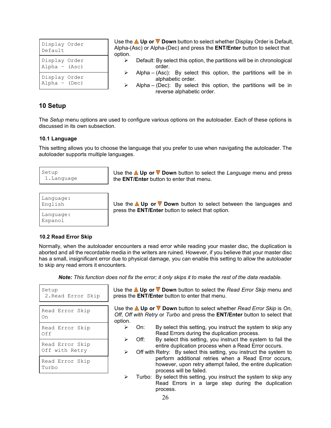| Display Order<br>Default         |  |
|----------------------------------|--|
| Display Order<br>Alpha - $(Asc)$ |  |
| Display Order<br>Alpha - (Dec)   |  |

Use the **△ Up or ▼ Down** button to select whether Display Order is Default, Alpha-(Asc) or Alpha-(Dec) and press the **ENT/Enter** button to select that option.

- $\triangleright$  Default: By select this option, the partitions will be in chronological order.
- Alpha (Asc): By select this option, the partitions will be in alphabetic order.
- Alpha (Dec): By select this option, the partitions will be in reverse alphabetic order.

# **10 Setup**

The *Setup* menu options are used to configure various options on the autoloader. Each of these options is discussed in its own subsection.

### **10.1 Language**

This setting allows you to choose the language that you prefer to use when navigating the autoloader. The autoloader supports multiple languages.

| Setup       |  |
|-------------|--|
|             |  |
| 1. Language |  |

Use the **Up or Down** button to select the *Language* menu and press the **ENT/Enter** button to enter that menu.

| Language:<br>English |  |
|----------------------|--|
| Language:            |  |

Espanol

## Use the **Up or Down** button to select between the languages and press the **ENT/Enter** button to select that option.

### **10.2 Read Error Skip**

Normally, when the autoloader encounters a read error while reading your master disc, the duplication is aborted and all the recordable media in the writers are ruined. However, if you believe that your master disc has a small, insignificant error due to physical damage, you can enable this setting to allow the autoloader to skip any read errors it encounters.

Note: This function does not fix the error; it only skips it to make the rest of the data readable.

| Setup<br>2. Read Error Skip       |
|-----------------------------------|
| Read Error Skip<br>Ωn             |
| Read Error Skip<br>∩ff            |
| Read Error Skip<br>Off with Retry |
| Read Error Skip<br>Turbo          |

Use the **Up or Down** button to select the *Read Error Skip* menu and press the **ENT/Enter** button to enter that menu.

Use the **Up or Down** button to select whether *Read Error Skip* is *On*, *Off*, *Off with Retry* or *Turbo* and press the **ENT/Enter** button to select that option.

- $\triangleright$  On: By select this setting, you instruct the system to skip any Read Errors during the duplication process.
	- Off: By select this setting, you instruct the system to fail the entire duplication process when a Read Error occurs.
- Off with Retry: By select this setting, you instruct the system to perform additional retries when a Read Error occurs, however, upon retry attempt failed, the entire duplication process will be failed.
- $\triangleright$  Turbo: By select this setting, you instruct the system to skip any Read Errors in a large step during the duplication process.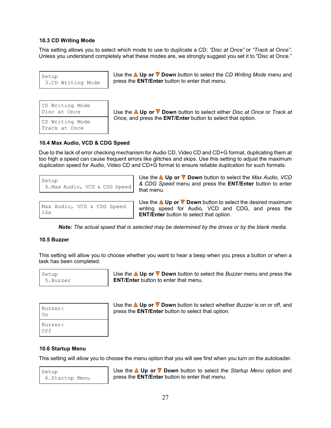#### **10.3 CD Writing Mode**

This setting allows you to select which mode to use to duplicate a CD; *"Disc at Once"* or *"Track at Once"*. Unless you understand completely what these modes are, we strongly suggest you set it to "Disc at Once."

Setup 3.CD Writing Mode

| CD Writing Mode<br>Disc at Once  |  |
|----------------------------------|--|
| CD Writing Mode<br>Track at Once |  |

Use the **Up or Down** button to select the *CD Writing Mode* menu and press the **ENT/Enter** button to enter that menu.

Use the **Up or Down** button to select either *Disc at Once* or *Track at Once*, and press the **ENT/Enter** button to select that option.

#### **10.4 Max Audio, VCD & CDG Speed**

Due to the lack of error checking mechanism for Audio CD, Video CD and CD+G format, duplicating them at too high a speed can cause frequent errors like glitches and skips. Use this setting to adjust the maximum duplication speed for Audio, Video CD and CD+G format to ensure reliable duplication for such formats.

| Setup                         |  |  |  |
|-------------------------------|--|--|--|
| 4. Max Audio, VCD & CDG Speed |  |  |  |

Max Audio, VCD & CDG Speed 16x

Use the **Up or Down** button to select the *Max Audio, VCD & CDG Speed* menu and press the **ENT/Enter** button to enter that menu.

Use the **△Up or** ▼ Down button to select the desired maximum writing speed for Audio, VCD and CDG, and press the **ENT/Enter** button to select that option.

*Note: The actual speed that is selected may be determined by the drives or by the blank media.*

#### **10.5 Buzzer**

This setting will allow you to choose whether you want to hear a beep when you press a button or when a task has been completed.

| Setup    |  |
|----------|--|
| 5.Buzzer |  |

Use the **Up or Down** button to select the *Buzzer* menu and press the **ENT/Enter** button to enter that menu.

| Buzzer:<br>On  |
|----------------|
| Buzzer:<br>Off |

Use the **△ Up or** ▼ **Down** button to select whether *Buzzer* is on or off, and press the **ENT/Enter** button to select that option.

#### **10.6 Startup Menu**

This setting will allow you to choose the menu option that you will see first when you turn on the autoloader.

Setup 6.Startup Menu Use the **Up or Down** button to select the *Startup Menu* option and press the **ENT/Enter** button to enter that menu.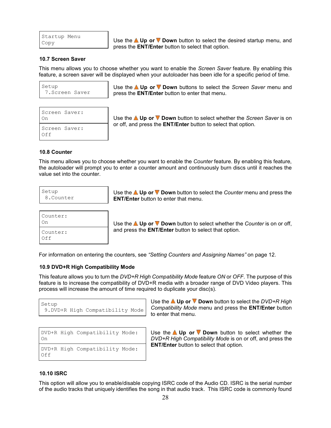Startup Menu Copy

Use the **Up or Down** button to select the desired startup menu, and press the **ENT/Enter** button to select that option.

#### **10.7 Screen Saver**

This menu allows you to choose whether you want to enable the *Screen Saver* feature. By enabling this feature, a screen saver will be displayed when your autoloader has been idle for a specific period of time.

```
Setup
 7.Screen Saver
```
Use the **Up or Down** buttons to select the *Screen Saver* menu and press the **ENT/Enter** button to enter that menu.

| Screen Saver:<br>l On |  |
|-----------------------|--|
| Screen Saver:<br>Off  |  |

Use the **Up or Down** button to select whether the *Screen Saver* is on or off, and press the **ENT/Enter** button to select that option.

### **10.8 Counter**

This menu allows you to choose whether you want to enable the *Counter* feature. By enabling this feature, the autoloader will prompt you to enter a counter amount and continuously burn discs until it reaches the value set into the counter.

| Setup     |  |
|-----------|--|
| 8.Counter |  |

| Counter:<br>On  |
|-----------------|
| Counter:<br>Off |

Use the **Up or Down** button to select the *Counter* menu and press the **ENT/Enter** button to enter that menu.

Use the **△Up or** ▼ **Down** button to select whether the *Counter* is on or off, and press the **ENT/Enter** button to select that option.

For information on entering the counters, see *"Setting Counters and Assigning Names"* on page 12.

#### **10.9 DVD+R High Compatibility Mode**

This feature allows you to turn the *DVD+R High Compatibility Mode* feature *ON* or *OFF*. The purpose of this feature is to increase the compatibility of DVD+R media with a broader range of DVD Video players. This process will increase the amount of time required to duplicate your disc(s).

```
Setup
 9.DVD+R High Compatibility Mode
```

```
DVD+R High Compatibility Mode:
On
```

```
DVD+R High Compatibility Mode:
Off
```
Use the **Up or Down** button to select the *DVD+R High Compatibility Mode* menu and press the **ENT/Enter** button to enter that menu.

Use the **Up or Down** button to select whether the *DVD+R High Compatibility Mode* is on or off, and press the **ENT/Enter** button to select that option.

#### **10.10 ISRC**

This option will allow you to enable/disable copying ISRC code of the Audio CD. ISRC is the serial number of the audio tracks that uniquely identifies the song in that audio track. This ISRC code is commonly found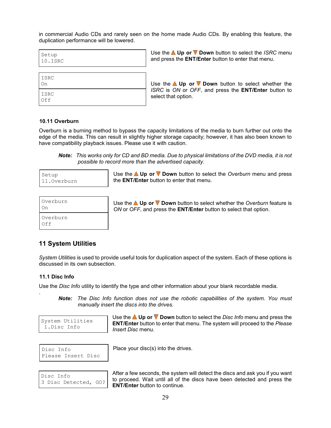in commercial Audio CDs and rarely seen on the home made Audio CDs. By enabling this feature, the duplication performance will be lowered.

| Setup   |  |  |
|---------|--|--|
| 10.ISRC |  |  |

ISRC On ISRC Off

Use the **L** Up or **V** Down button to select the *ISRC* menu and press the **ENT/Enter** button to enter that menu.

Use the **Up or Down** button to select whether the *ISRC* is *ON* or *OFF*, and press the **ENT/Enter** button to select that option.

#### **10.11 Overburn**

Overburn is a burning method to bypass the capacity limitations of the media to burn further out onto the edge of the media. This can result in slightly higher storage capacity; however, it has also been known to have compatibility playback issues. Please use it with caution.

Note: This works only for CD and BD media. Due to physical limitations of the DVD media, it is not *possible to record more than the advertised capacity.*

| Setup       |
|-------------|
| 11.Overburn |

Use the **Up or Down** button to select the *Overburn* menu and press the **ENT/Enter** button to enter that menu.

| Overburn        | Use the $\triangle$ Up or $\nabla$ Down button to select whether the Overburn feature is |
|-----------------|------------------------------------------------------------------------------------------|
| On              | ON or OFF, and press the <b>ENT/Enter</b> button to select that option.                  |
| Overburn<br>Off |                                                                                          |

# **11 System Utilities**

*System Utilities* is used to provide useful tools for duplication aspect of the system. Each of these options is discussed in its own subsection.

#### **11.1 Disc Info**

.

Use the *Disc Info* utility to identify the type and other information about your blank recordable media.

Place your disc(s) into the drives.

*Note: The Disc Info function does not use the robotic capabilities of the system. You must manually insert the discs into the drives.*

System Utilities 1.Disc Info

Use the **Up or Down** button to select the *Disc Info* menu and press the **ENT/Enter** button to enter that menu. The system will proceed to the *Please Insert Disc* menu.

Disc Info Please Insert Disc

Disc Info 3 Disc Detected, GO? After a few seconds, the system will detect the discs and ask you if you want to proceed. Wait until all of the discs have been detected and press the **ENT/Enter** button to continue.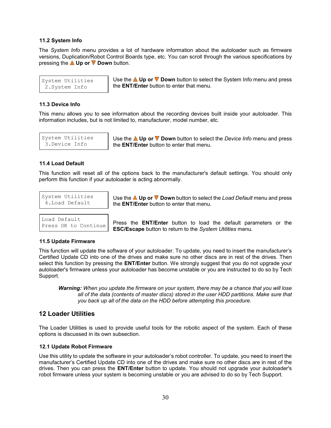#### **11.2 System Info**

The *System Info* menu provides a lot of hardware information about the autoloader such as firmware versions, Duplication/Robot Control Boards type, etc. You can scroll through the various specifications by pressing the **Up or Down** button.

```
System Utilities
 2.System Info
```
Use the **Up or Down** button to select the System Info menu and press the **ENT/Enter** button to enter that menu.

#### **11.3 Device Info**

This menu allows you to see information about the recording devices built inside your autoloader. This information includes, but is not limited to, manufacturer, model number, etc.

```
System Utilities
 3.Device Info
```
Use the **Up or Down** button to select the *Device Info* menu and press the **ENT/Enter** button to enter that menu.

### **11.4 Load Default**

This function will reset all of the options back to the manufacturer's default settings. You should only perform this function if your autoloader is acting abnormally.

| System Utilities |
|------------------|
| 4. Load Default  |

Use the **Up or Down** button to select the *Load Default* menu and press the **ENT/Enter** button to enter that menu.

Load Default Press OK to Continue

Press the **ENT/Enter** button to load the default parameters or the **ESC/Escape** button to return to the *System Utilities* menu.

#### **11.5 Update Firmware**

This function will update the software of your autoloader. To update, you need to insert the manufacturer's Certified Update CD into one of the drives and make sure no other discs are in rest of the drives. Then select this function by pressing the **ENT/Enter** button. We strongly suggest that you do not upgrade your autoloader's firmware unless your autoloader has become unstable or you are instructed to do so by Tech Support.

*Warning: When you update the firmware on your system, there may be a chance that you will lose all of the data (contents of master discs) stored in the user HDD partitions. Make sure that you back up all of the data on the HDD before attempting this procedure.*

### **12 Loader Utilities**

The Loader Utilities is used to provide useful tools for the robotic aspect of the system. Each of these options is discussed in its own subsection.

#### **12.1 Update Robot Firmware**

Use this utility to update the software in your autoloader's robot controller. To update, you need to insert the manufacturer's Certified Update CD into one of the drives and make sure no other discs are in rest of the drives. Then you can press the **ENT/Enter** button to update. You should not upgrade your autoloader's robot firmware unless your system is becoming unstable or you are advised to do so by Tech Support.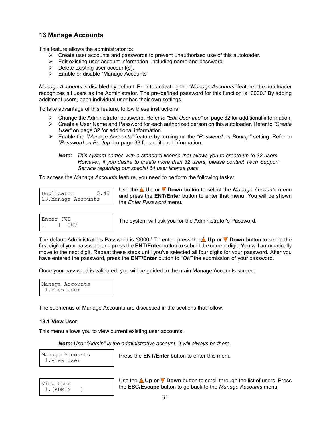# **13 Manage Accounts**

This feature allows the administrator to:

- $\triangleright$  Create user accounts and passwords to prevent unauthorized use of this autoloader.
- $\triangleright$  Edit existing user account information, including name and password.
- $\triangleright$  Delete existing user account(s).
- Enable or disable "Manage Accounts"

*Manage Accounts* is disabled by default. Prior to activating the *"Manage Accounts"* feature, the autoloader recognizes all users as the Administrator. The pre-defined password for this function is "0000." By adding additional users, each individual user has their own settings.

To take advantage of this feature, follow these instructions:

- Change the Administrator password. Refer *to "Edit User Info"* on page 32 for additional information.
- Create a User Name and Password for each authorized person on this autoloader. Refer to *"Create User"* on page 32 for additional information.
- Enable the *"Manage Accounts"* feature by turning on the *"Password on Bootup"* setting. Refer to *"Password on Bootup"* on page 33 for additional information.
	- *Note: This system comes with a standard license that allows you to create up to 32 users. However, if you desire to create more than 32 users, please contact Tech Support Service regarding our special 64 user license pack.*

To access the *Manage Accounts* feature, you need to perform the following tasks:

| Duplicator          | 5.43 |
|---------------------|------|
| 13. Manage Accounts |      |

Use the **Up or Down** button to select the *Manage Accounts* menu and press the **ENT/Enter** button to enter that menu. You will be shown the *Enter Password* menu.

Enter PWD [ ] OK?

The system will ask you for the Administrator's Password.

The default Administrator's Password is "0000." To enter, press the **△ Up or ▼ Down** button to select the first digit of your password and press the **ENT/Enter** button to submit the current digit. You will automatically move to the next digit. Repeat these steps until you've selected all four digits for your password. After you have entered the password, press the **ENT/Enter** button to *"OK"* the submission of your password.

Once your password is validated, you will be guided to the main Manage Accounts screen:

|             | Manage Accounts |
|-------------|-----------------|
| 1.View User |                 |

The submenus of Manage Accounts are discussed in the sections that follow.

### **13.1 View User**

This menu allows you to view current existing user accounts.

*Note: User "Admin" is the administrative account. It will always be there.*

Manage Accounts 1.View User

Press the **ENT/Enter** button to enter this menu

```
View User
1.[ADMIN ]
```
Use the **△ Up or** ▼ Down button to scroll through the list of users. Press the **ESC/Escape** button to go back to the *Manage Accounts* menu.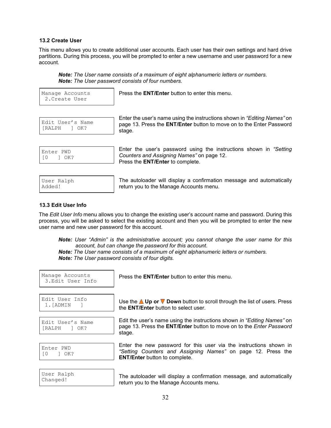#### **13.2 Create User**

This menu allows you to create additional user accounts. Each user has their own settings and hard drive partitions. During this process, you will be prompted to enter a new username and user password for a new account.

*Note: The User name consists of a maximum of eight alphanumeric letters or numbers. Note: The User password consists of four numbers.*

Manage Accounts 2.Create User

Press the **ENT/Enter** button to enter this menu.

| Edit User's Name |       |  |
|------------------|-------|--|
| <b>TRALPH</b>    | 1 OK? |  |

Enter the user's name using the instructions shown in *"Editing Names"* on page 13. Press the **ENT/Enter** button to move on to the Enter Password stage.

| Enter PWD  |       |  |
|------------|-------|--|
| $\sqrt{0}$ | l OK? |  |

Enter the user's password using the instructions shown in *"Setting Counters and Assigning Names"* on page 12. Press the **ENT/Enter** to complete.

|        | User Ralph |
|--------|------------|
| Added! |            |

The autoloader will display a confirmation message and automatically return you to the Manage Accounts menu.

#### **13.3 Edit User Info**

The *Edit User Info* menu allows you to change the existing user's account name and password. During this process, you will be asked to select the existing account and then you will be prompted to enter the new user name and new user password for this account.

*Note: User "Admin" is the administrative account; you cannot change the user name for this account, but can change the password for this account.*

Press the **ENT/Enter** button to enter this menu.

*Note: The User name consists of a maximum of eight alphanumeric letters or numbers. Note: The User password consists of four digits.*

| Manage Accounts   |  |
|-------------------|--|
| 3. Edit User Info |  |

Edit User Info 1.[ADMIN ]

Edit User's Name [RALPH ] OK?

Enter PWD [0 ] OK?

User Ralph Changed!

Use the **△Up or** ▼ Down button to scroll through the list of users. Press the **ENT/Enter** button to select user.

Edit the user's name using the instructions shown *in "Editing Names"* on page 13. Press the **ENT/Enter** button to move on to the *Enter Password* stage.

Enter the new password for this user via the instructions shown in *"Setting Counters and Assigning Names"* on page 12. Press the **ENT/Enter** button to complete.

The autoloader will display a confirmation message, and automatically return you to the Manage Accounts menu.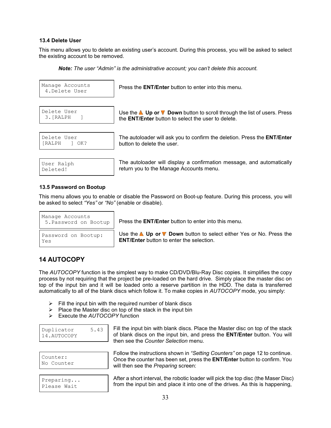#### **13.4 Delete User**

This menu allows you to delete an existing user's account. During this process, you will be asked to select the existing account to be removed.

*Note: The user "Admin" is the administrative account; you can't delete this account.*

| Manage Accounts<br>4. Delete User   | Press the <b>ENT/Enter</b> button to enter into this menu.                                                                                             |
|-------------------------------------|--------------------------------------------------------------------------------------------------------------------------------------------------------|
| Delete User<br>3. [RALPH            | Use the $\triangle$ Up or $\nabla$ Down button to scroll through the list of users. Press<br>the <b>ENT/Enter</b> button to select the user to delete. |
| Delete User<br><b>TRALPH</b><br>OK? | The autoloader will ask you to confirm the deletion. Press the <b>ENT/Enter</b><br>button to delete the user.                                          |

User Ralph Deleted!

button to delete the user.

The autoloader will display a confirmation message, and automatically return you to the Manage Accounts menu.

#### **13.5 Password on Bootup**

This menu allows you to enable or disable the Password on Boot-up feature. During this process, you will be asked to select *"Yes"* or *"No"* (enable or disable).

Manage Accounts 5.Password on Bootup Password on Bootup: Yes

Press the **ENT/Enter** button to enter into this menu.

Use the **Up or Down** button to select either Yes or No. Press the **ENT/Enter** button to enter the selection.

# **14 AUTOCOPY**

The *AUTOCOPY* function is the simplest way to make CD/DVD/Blu-Ray Disc copies. It simplifies the copy process by not requiring that the project be pre-loaded on the hard drive. Simply place the master disc on top of the input bin and it will be loaded onto a reserve partition in the HDD. The data is transferred automatically to all of the blank discs which follow it. To make copies in *AUTOCOPY* mode, you simply:

- $\triangleright$  Fill the input bin with the required number of blank discs
- $\triangleright$  Place the Master disc on top of the stack in the input bin
- Execute the *AUTOCOPY* function

| Duplicator  | 5.43 |
|-------------|------|
| 14.AUTOCOPY |      |

Fill the input bin with blank discs. Place the Master disc on top of the stack of blank discs on the input bin, and press the **ENT/Enter** button. You will then see the *Counter Selection* menu.

Counter: No Counter

Preparing... Please Wait

Follow the instructions shown in *"Setting Counters"* on page 12 to continue. Once the counter has been set, press the **ENT/Enter** button to confirm. You will then see the *Preparing* screen:

After a short interval, the robotic loader will pick the top disc (the Maser Disc) from the input bin and place it into one of the drives. As this is happening,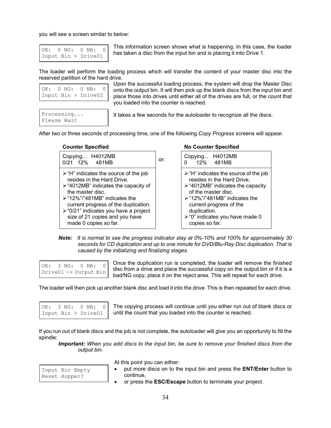you will see a screen similar to below:

| OK: 0 NG: 0 NB: 0 l     |  |  |  |
|-------------------------|--|--|--|
| Input Bin > Drive01 $ $ |  |  |  |

This information screen shows what is happening. In this case, the loader has taken a disc from the input bin and is placing it into Drive 1.

The loader will perform the loading process which will transfer the content of your master disc into the reserved partition of the hard drive.

| OK: $0$ NG: $0$ NB: $0$ |  |  |
|-------------------------|--|--|
| Input Bin > Drive02 $ $ |  |  |

Processing... Please Wait

Upon the successful loading process, the system will drop the Master Disc onto the output bin. It will then pick up the blank discs from the input bin and place those into drives until either all of the drives are full, or the count that you loaded into the counter is reached.

It takes a few seconds for the autoloader to recognize all the discs.

After two or three seconds of processing time, one of the following *Copy Progress* screens will appear.

#### **Counter Specified No Counter Specified**

| Copying H4012MB<br>0/21 12% 481MB                                                                                                                                                                                                                                                                                                                                        | or: | Copying H4012MB<br>12% 481MB<br>0                                                                                                                                                                                                                                                                             |
|--------------------------------------------------------------------------------------------------------------------------------------------------------------------------------------------------------------------------------------------------------------------------------------------------------------------------------------------------------------------------|-----|---------------------------------------------------------------------------------------------------------------------------------------------------------------------------------------------------------------------------------------------------------------------------------------------------------------|
| $\triangleright$ "H" indicates the source of the job<br>resides in the Hard Drive.<br>$\triangleright$ "4012MB" indicates the capacity of<br>the master disc.<br>$\triangleright$ "12%"/"481MB" indicates the<br>current progress of the duplication.<br>$\triangleright$ "0/21" indicates you have a project<br>size of 21 copies and you have<br>made 0 copies so far. |     | $\triangleright$ "H" indicates the source of the job<br>resides in the Hard Drive.<br>$\triangleright$ "4012MB" indicates the capacity<br>of the master disc.<br>$\triangleright$ "12%"/"481MB" indicates the<br>current progress of the<br>duplication.<br>≻ "0" indicates you have made 0<br>copies so far. |

#### *Note: It is normal to see the progress indicator stay at 0%-10% and 100% for approximately 30 seconds for CD duplication and up to one minute for DVD/Blu-Ray Disc duplication. That is caused by the initializing and finalizing stages.*

OK: 3 NG: 0 NB: 0 Drive01 -> Output Bin

Once the duplication run is completed, the loader will remove the finished disc from a drive and place the successful copy on the output bin or if it is a bad/NG copy, place it on the reject area. This will repeat for each drive.

The loader will then pick up another blank disc and load it into the drive. This is then repeated for each drive.

| OK: 3 NG: 0 NB: 0   |  |  |  |
|---------------------|--|--|--|
| Input Bin > Drive01 |  |  |  |

The copying process will continue until you either run out of blank discs or until the count that you loaded into the counter is reached.

If you run out of blank discs and the job is not complete, the autoloader will give you an opportunity to fill the spindle:

*Important: When you add discs to the input bin, be sure to remove your finished discs from the output bin.*

Input Bin Empty Reset Hopper?

At this point you can either:

- put more discs on to the input bin and press the **ENT/Enter** button to continue,
- or press the **ESC/Escape** button to terminate your project.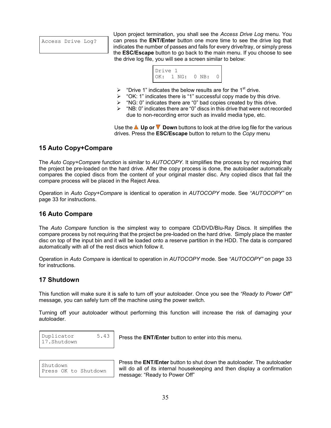Access Drive Log?

Upon project termination, you shall see the *Access Drive Log* menu. You can press the **ENT/Enter** button one more time to see the drive log that indicates the number of passes and fails for every drive/tray, or simply press the **ESC/Escape** button to go back to the main menu. If you choose to see the drive log file, you will see a screen similar to below:



- $\triangleright$  "Drive 1" indicates the below results are for the 1<sup>st</sup> drive.
- $\triangleright$  "OK: 1" indicates there is "1" successful copy made by this drive.
- $\triangleright$  "NG: 0" indicates there are "0" bad copies created by this drive.
- $\triangleright$  "NB: 0" indicates there are "0" discs in this drive that were not recorded due to non-recording error such as invalid media type, etc.

Use the **L** Up or **V** Down buttons to look at the drive log file for the various drives. Press the **ESC/Escape** button to return to the *Copy* menu

## **15 Auto Copy+Compare**

The *Auto Copy+Compare* function is similar to *AUTOCOPY*. It simplifies the process by not requiring that the project be pre-loaded on the hard drive. After the copy process is done, the autoloader automatically compares the copied discs from the content of your original master disc. Any copied discs that fail the compare process will be placed in the Reject Area.

Operation in *Auto Copy+Compare* is identical to operation in *AUTOCOPY* mode. See *"AUTOCOPY"* on page 33 for instructions.

### **16 Auto Compare**

The *Auto Compare* function is the simplest way to compare CD/DVD/Blu-Ray Discs. It simplifies the compare process by not requiring that the project be pre-loaded on the hard drive. Simply place the master disc on top of the input bin and it will be loaded onto a reserve partition in the HDD. The data is compared automatically with all of the rest discs which follow it.

Operation in *Auto Compare* is identical to operation in *AUTOCOPY* mode. See *"AUTOCOPY"* on page 33 for instructions.

### **17 Shutdown**

This function will make sure it is safe to turn off your autoloader. Once you see the *"Ready to Power Off"* message, you can safely turn off the machine using the power switch.

Turning off your autoloader without performing this function will increase the risk of damaging your autoloader.

| Duplicator  | 5.43 |
|-------------|------|
| 17.Shutdown |      |

Press the **ENT/Enter** button to enter into this menu.

| Shutdown |  |                      |
|----------|--|----------------------|
|          |  | Press OK to Shutdown |

Press the **ENT/Enter** button to shut down the autoloader. The autoloader will do all of its internal housekeeping and then display a confirmation message: "Ready to Power Off"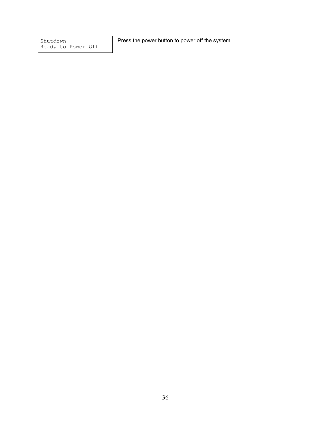Shutdown Ready to Power Off Press the power button to power off the system.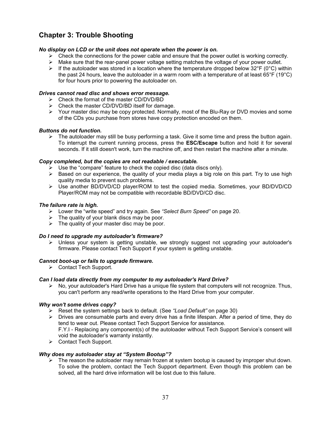# **Chapter 3: Trouble Shooting**

#### *No display on LCD or the unit does not operate when the power is on.*

- $\triangleright$  Check the connections for the power cable and ensure that the power outlet is working correctly.
- $\triangleright$  Make sure that the rear-panel power voltage setting matches the voltage of your power outlet.
- $\triangleright$  If the autoloader was stored in a location where the temperature dropped below 32°F (0°C) within the past 24 hours, leave the autoloader in a warm room with a temperature of at least 65°F (19°C) for four hours prior to powering the autoloader on.

#### *Drives cannot read disc and shows error message.*

- $\triangleright$  Check the format of the master CD/DVD/BD
- > Check the master CD/DVD/BD itself for damage.
- $\triangleright$  Your master disc may be copy protected. Normally, most of the Blu-Ray or DVD movies and some of the CDs you purchase from stores have copy protection encoded on them.

#### *Buttons do not function.*

 $\triangleright$  The autoloader may still be busy performing a task. Give it some time and press the button again. To interrupt the current running process, press the **ESC/Escape** button and hold it for several seconds. If it still doesn't work, turn the machine off, and then restart the machine after a minute.

#### *Copy completed, but the copies are not readable / executable.*

- $\triangleright$  Use the "compare" feature to check the copied disc (data discs only).
- $\triangleright$  Based on our experience, the quality of your media plays a big role on this part. Try to use high quality media to prevent such problems.
- Use another BD/DVD/CD player/ROM to test the copied media. Sometimes, your BD/DVD/CD Player/ROM may not be compatible with recordable BD/DVD/CD disc.

#### *The failure rate is high.*

- Lower the "write speed" and try again. See *"Select Burn Speed"* on page 20.
- $\triangleright$  The quality of your blank discs may be poor.
- $\triangleright$  The quality of your master disc may be poor.

#### *Do I need to upgrade my autoloader's firmware?*

 Unless your system is getting unstable, we strongly suggest not upgrading your autoloader's firmware. Please contact Tech Support if your system is getting unstable.

#### *Cannot boot-up or fails to upgrade firmware.*

▶ Contact Tech Support.

### *Can I load data directly from my computer to my autoloader's Hard Drive?*

 $\triangleright$  No, your autoloader's Hard Drive has a unique file system that computers will not recognize. Thus, you can't perform any read/write operations to the Hard Drive from your computer.

#### *Why won't some drives copy?*

- Reset the system settings back to default. (See *"Load Default"* on page 30)
- $\triangleright$  Drives are consumable parts and every drive has a finite lifespan. After a period of time, they do tend to wear out. Please contact Tech Support Service for assistance. F.Y.I - Replacing any component(s) of the autoloader without Tech Support Service's consent will void the autoloader's warranty instantly.
- ▶ Contact Tech Support.

#### *Why does my autoloader stay at "System Bootup"?*

 $\triangleright$  The reason the autoloader may remain frozen at system bootup is caused by improper shut down. To solve the problem, contact the Tech Support department. Even though this problem can be solved, all the hard drive information will be lost due to this failure.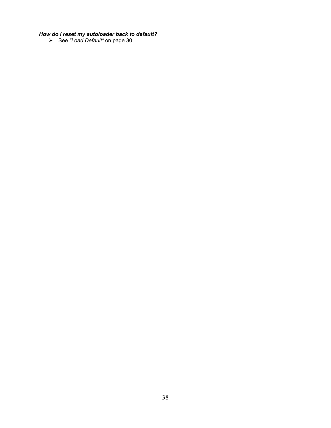*How do I reset my autoloader back to default?*

See *"Load Default"* on page 30.